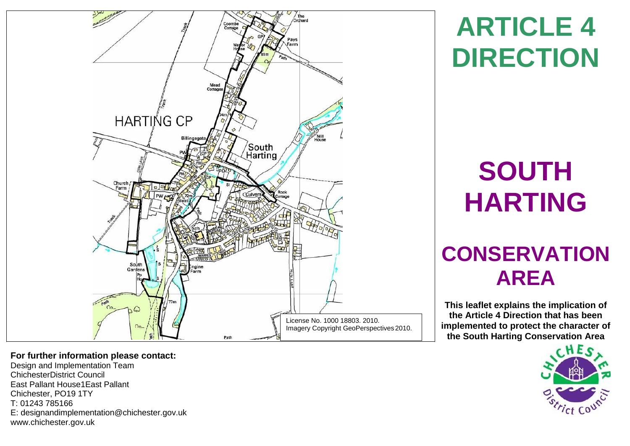

**ARTICLE 4 DIRECTION**

# **SOUTH HARTING**

# **CONSERVATION AREA**

**This leaflet explains the implication of the Article 4 Direction that has been implemented to protect the character of the South Harting Conservation Area**



# **For further information please contact:**

Design and Implementation Team ChichesterDistrict Council East Pallant House1East Pallant Chichester, PO19 1TY T: 01243 785166 E: [designandimplementation@chichester.gov.uk](mailto:designandimplementation@chichester.gov.uk) [www.chichester.gov.uk](http://www.chichester.gov.uk/)